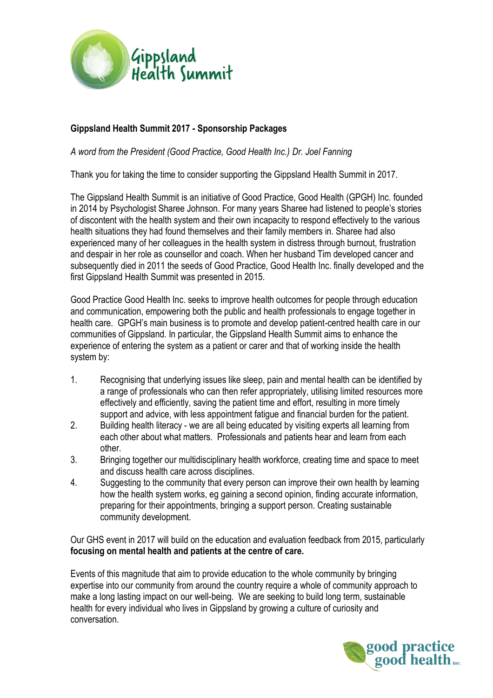

### **Gippsland Health Summit 2017 - Sponsorship Packages**

*A word from the President (Good Practice, Good Health Inc.) Dr. Joel Fanning*

Thank you for taking the time to consider supporting the Gippsland Health Summit in 2017.

The Gippsland Health Summit is an initiative of Good Practice, Good Health (GPGH) Inc. founded in 2014 by Psychologist Sharee Johnson. For many years Sharee had listened to people's stories of discontent with the health system and their own incapacity to respond effectively to the various health situations they had found themselves and their family members in. Sharee had also experienced many of her colleagues in the health system in distress through burnout, frustration and despair in her role as counsellor and coach. When her husband Tim developed cancer and subsequently died in 2011 the seeds of Good Practice, Good Health Inc. finally developed and the first Gippsland Health Summit was presented in 2015.

Good Practice Good Health Inc. seeks to improve health outcomes for people through education and communication, empowering both the public and health professionals to engage together in health care. GPGH's main business is to promote and develop patient-centred health care in our communities of Gippsland. In particular, the Gippsland Health Summit aims to enhance the experience of entering the system as a patient or carer and that of working inside the health system by:

- 1. Recognising that underlying issues like sleep, pain and mental health can be identified by a range of professionals who can then refer appropriately, utilising limited resources more effectively and efficiently, saving the patient time and effort, resulting in more timely support and advice, with less appointment fatigue and financial burden for the patient.
- 2. Building health literacy we are all being educated by visiting experts all learning from each other about what matters. Professionals and patients hear and learn from each other.
- 3. Bringing together our multidisciplinary health workforce, creating time and space to meet and discuss health care across disciplines.
- 4. Suggesting to the community that every person can improve their own health by learning how the health system works, eg gaining a second opinion, finding accurate information, preparing for their appointments, bringing a support person. Creating sustainable community development.

Our GHS event in 2017 will build on the education and evaluation feedback from 2015, particularly **focusing on mental health and patients at the centre of care.** 

Events of this magnitude that aim to provide education to the whole community by bringing expertise into our community from around the country require a whole of community approach to make a long lasting impact on our well-being. We are seeking to build long term, sustainable health for every individual who lives in Gippsland by growing a culture of curiosity and conversation.

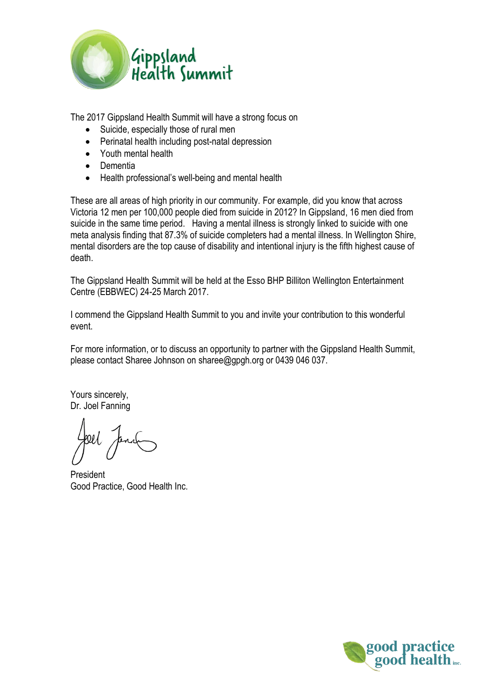

The 2017 Gippsland Health Summit will have a strong focus on

- Suicide, especially those of rural men
- Perinatal health including post-natal depression
- Youth mental health
- Dementia
- Health professional's well-being and mental health

These are all areas of high priority in our community. For example, did you know that across Victoria 12 men per 100,000 people died from suicide in 2012? In Gippsland, 16 men died from suicide in the same time period. Having a mental illness is strongly linked to suicide with one meta analysis finding that 87.3% of suicide completers had a mental illness. In Wellington Shire, mental disorders are the top cause of disability and intentional injury is the fifth highest cause of death.

The Gippsland Health Summit will be held at the Esso BHP Billiton Wellington Entertainment Centre (EBBWEC) 24-25 March 2017.

I commend the Gippsland Health Summit to you and invite your contribution to this wonderful event.

For more information, or to discuss an opportunity to partner with the Gippsland Health Summit, please contact Sharee Johnson on [sharee@gpgh.org](mailto:sharee@gpgh.org) or 0439 046 037.

Yours sincerely, Dr. Joel Fanning

President Good Practice, Good Health Inc.

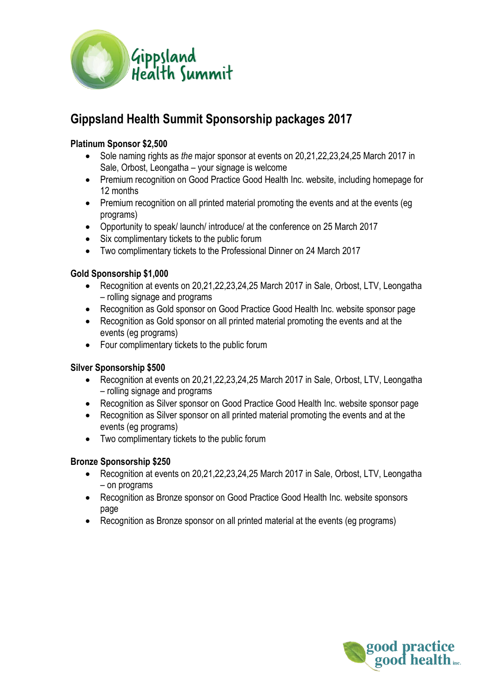

# **Gippsland Health Summit Sponsorship packages 2017**

### **Platinum Sponsor \$2,500**

- Sole naming rights as *the* major sponsor at events on 20,21,22,23,24,25 March 2017 in Sale, Orbost, Leongatha – your signage is welcome
- Premium recognition on Good Practice Good Health Inc. website, including homepage for 12 months
- Premium recognition on all printed material promoting the events and at the events (eg programs)
- Opportunity to speak/ launch/ introduce/ at the conference on 25 March 2017
- Six complimentary tickets to the public forum
- Two complimentary tickets to the Professional Dinner on 24 March 2017

#### **Gold Sponsorship \$1,000**

- Recognition at events on 20,21,22,23,24,25 March 2017 in Sale, Orbost, LTV, Leongatha – rolling signage and programs
- Recognition as Gold sponsor on Good Practice Good Health Inc. website sponsor page
- Recognition as Gold sponsor on all printed material promoting the events and at the events (eg programs)
- Four complimentary tickets to the public forum

#### **Silver Sponsorship \$500**

- Recognition at events on 20,21,22,23,24,25 March 2017 in Sale, Orbost, LTV, Leongatha – rolling signage and programs
- Recognition as Silver sponsor on Good Practice Good Health Inc. website sponsor page
- Recognition as Silver sponsor on all printed material promoting the events and at the events (eg programs)
- Two complimentary tickets to the public forum

#### **Bronze Sponsorship \$250**

- Recognition at events on 20,21,22,23,24,25 March 2017 in Sale, Orbost, LTV, Leongatha – on programs
- Recognition as Bronze sponsor on Good Practice Good Health Inc. website sponsors page
- Recognition as Bronze sponsor on all printed material at the events (eg programs)